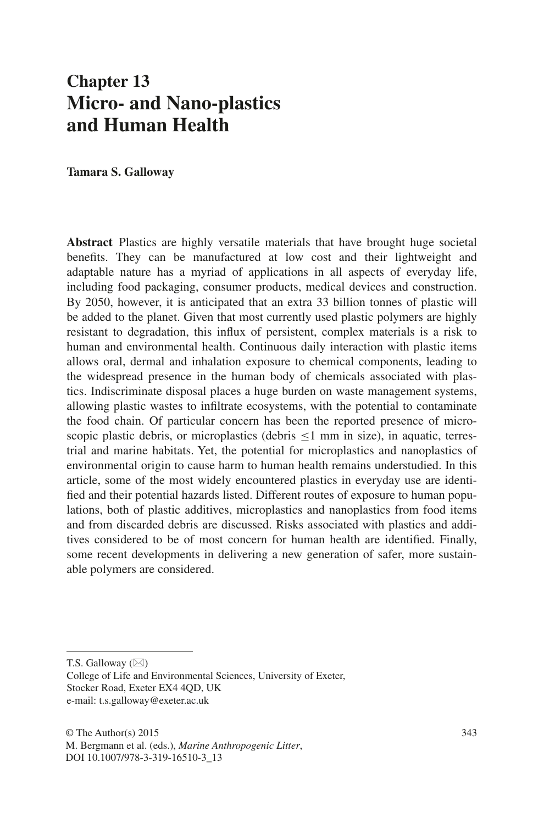# **Chapter 13 Micro- and Nano-plastics and Human Health**

**Tamara S. Galloway**

**Abstract** Plastics are highly versatile materials that have brought huge societal benefits. They can be manufactured at low cost and their lightweight and adaptable nature has a myriad of applications in all aspects of everyday life, including food packaging, consumer products, medical devices and construction. By 2050, however, it is anticipated that an extra 33 billion tonnes of plastic will be added to the planet. Given that most currently used plastic polymers are highly resistant to degradation, this influx of persistent, complex materials is a risk to human and environmental health. Continuous daily interaction with plastic items allows oral, dermal and inhalation exposure to chemical components, leading to the widespread presence in the human body of chemicals associated with plastics. Indiscriminate disposal places a huge burden on waste management systems, allowing plastic wastes to infiltrate ecosystems, with the potential to contaminate the food chain. Of particular concern has been the reported presence of microscopic plastic debris, or microplastics (debris <1 mm in size), in aquatic, terrestrial and marine habitats. Yet, the potential for microplastics and nanoplastics of environmental origin to cause harm to human health remains understudied. In this article, some of the most widely encountered plastics in everyday use are identified and their potential hazards listed. Different routes of exposure to human populations, both of plastic additives, microplastics and nanoplastics from food items and from discarded debris are discussed. Risks associated with plastics and additives considered to be of most concern for human health are identified. Finally, some recent developments in delivering a new generation of safer, more sustainable polymers are considered.

T.S. Galloway  $(\boxtimes)$ 

College of Life and Environmental Sciences, University of Exeter, Stocker Road, Exeter EX4 4QD, UK e-mail: t.s.galloway@exeter.ac.uk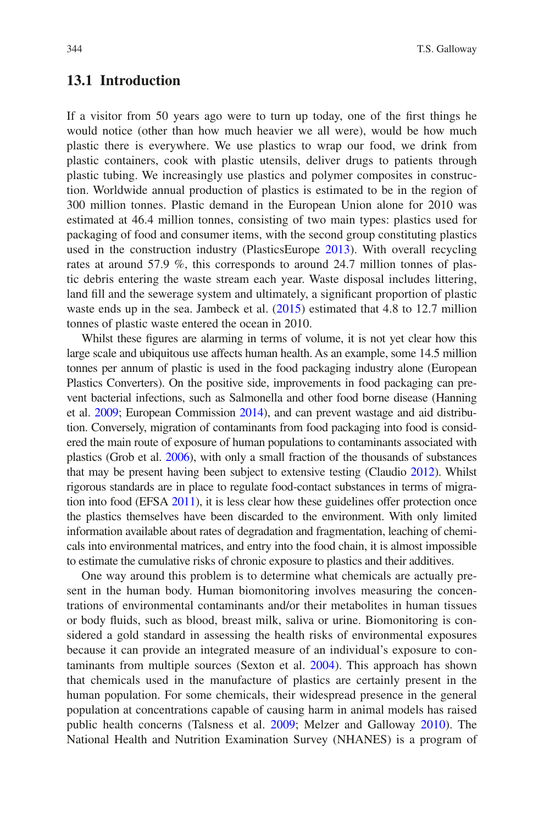### **13.1 Introduction**

If a visitor from 50 years ago were to turn up today, one of the first things he would notice (other than how much heavier we all were), would be how much plastic there is everywhere. We use plastics to wrap our food, we drink from plastic containers, cook with plastic utensils, deliver drugs to patients through plastic tubing. We increasingly use plastics and polymer composites in construction. Worldwide annual production of plastics is estimated to be in the region of 300 million tonnes. Plastic demand in the European Union alone for 2010 was estimated at 46.4 million tonnes, consisting of two main types: plastics used for packaging of food and consumer items, with the second group constituting plastics used in the construction industry (PlasticsEurope [2013\)](#page-22-0). With overall recycling rates at around 57.9 %, this corresponds to around 24.7 million tonnes of plastic debris entering the waste stream each year. Waste disposal includes littering, land fill and the sewerage system and ultimately, a significant proportion of plastic waste ends up in the sea. Jambeck et al. [\(2015](#page-21-0)) estimated that 4.8 to 12.7 million tonnes of plastic waste entered the ocean in 2010.

Whilst these figures are alarming in terms of volume, it is not yet clear how this large scale and ubiquitous use affects human health. As an example, some 14.5 million tonnes per annum of plastic is used in the food packaging industry alone (European Plastics Converters). On the positive side, improvements in food packaging can prevent bacterial infections, such as Salmonella and other food borne disease (Hanning et al. [2009;](#page-20-0) European Commission [2014\)](#page-20-1), and can prevent wastage and aid distribution. Conversely, migration of contaminants from food packaging into food is considered the main route of exposure of human populations to contaminants associated with plastics (Grob et al. [2006](#page-20-2)), with only a small fraction of the thousands of substances that may be present having been subject to extensive testing (Claudio [2012](#page-19-0)). Whilst rigorous standards are in place to regulate food-contact substances in terms of migration into food (EFSA [2011](#page-20-3)), it is less clear how these guidelines offer protection once the plastics themselves have been discarded to the environment. With only limited information available about rates of degradation and fragmentation, leaching of chemicals into environmental matrices, and entry into the food chain, it is almost impossible to estimate the cumulative risks of chronic exposure to plastics and their additives.

One way around this problem is to determine what chemicals are actually present in the human body. Human biomonitoring involves measuring the concentrations of environmental contaminants and/or their metabolites in human tissues or body fluids, such as blood, breast milk, saliva or urine. Biomonitoring is considered a gold standard in assessing the health risks of environmental exposures because it can provide an integrated measure of an individual's exposure to contaminants from multiple sources (Sexton et al. [2004\)](#page-22-1). This approach has shown that chemicals used in the manufacture of plastics are certainly present in the human population. For some chemicals, their widespread presence in the general population at concentrations capable of causing harm in animal models has raised public health concerns (Talsness et al. [2009;](#page-23-0) Melzer and Galloway [2010](#page-21-1)). The National Health and Nutrition Examination Survey (NHANES) is a program of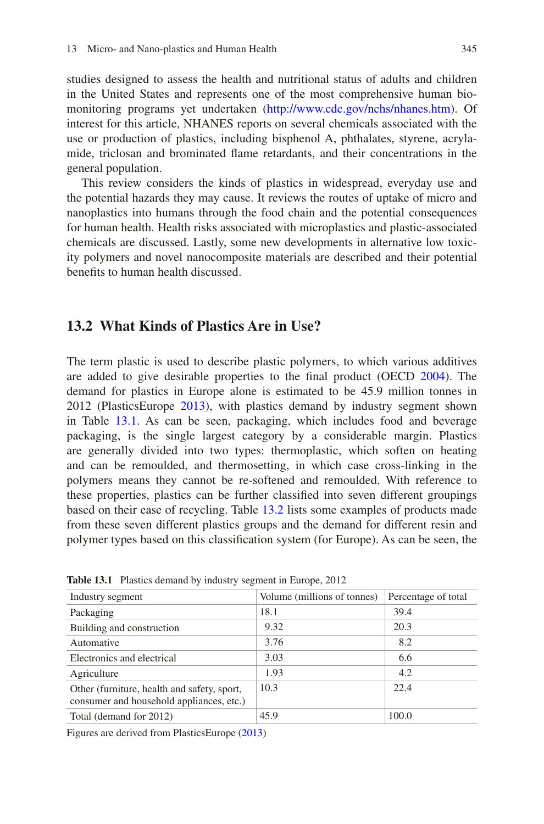studies designed to assess the health and nutritional status of adults and children in the United States and represents one of the most comprehensive human biomonitoring programs yet undertaken (<http://www.cdc.gov/nchs/nhanes.htm>). Of interest for this article, NHANES reports on several chemicals associated with the use or production of plastics, including bisphenol A, phthalates, styrene, acrylamide, triclosan and brominated flame retardants, and their concentrations in the general population.

This review considers the kinds of plastics in widespread, everyday use and the potential hazards they may cause. It reviews the routes of uptake of micro and nanoplastics into humans through the food chain and the potential consequences for human health. Health risks associated with microplastics and plastic-associated chemicals are discussed. Lastly, some new developments in alternative low toxicity polymers and novel nanocomposite materials are described and their potential benefits to human health discussed.

## **13.2 What Kinds of Plastics Are in Use?**

The term plastic is used to describe plastic polymers, to which various additives are added to give desirable properties to the final product (OECD [2004\)](#page-22-2). The demand for plastics in Europe alone is estimated to be 45.9 million tonnes in 2012 (PlasticsEurope [2013\)](#page-22-0), with plastics demand by industry segment shown in Table [13.1.](#page-2-0) As can be seen, packaging, which includes food and beverage packaging, is the single largest category by a considerable margin. Plastics are generally divided into two types: thermoplastic, which soften on heating and can be remoulded, and thermosetting, in which case cross-linking in the polymers means they cannot be re-softened and remoulded. With reference to these properties, plastics can be further classified into seven different groupings based on their ease of recycling. Table [13.2](#page-3-0) lists some examples of products made from these seven different plastics groups and the demand for different resin and polymer types based on this classification system (for Europe). As can be seen, the

| Industry segment                                                                        | Volume (millions of tonnes) | Percentage of total |
|-----------------------------------------------------------------------------------------|-----------------------------|---------------------|
| Packaging                                                                               | 18.1                        | 39.4                |
| Building and construction                                                               | 9.32                        | 20.3                |
| Automative                                                                              | 3.76                        | 8.2                 |
| Electronics and electrical                                                              | 3.03                        | 6.6                 |
| Agriculture                                                                             | 1.93                        | 4.2                 |
| Other (furniture, health and safety, sport,<br>consumer and household appliances, etc.) | 10.3                        | 22.4                |
| Total (demand for 2012)                                                                 | 45.9                        | 100.0               |

<span id="page-2-0"></span>**Table 13.1** Plastics demand by industry segment in Europe, 2012

Figures are derived from PlasticsEurope [\(2013](#page-22-0))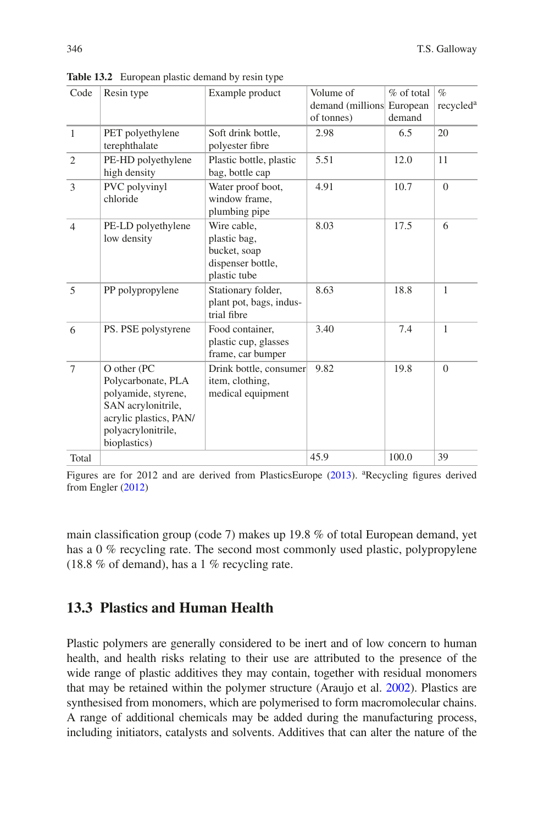| Code           | Resin type                                                                                                                                     | Example product                                                                  | Volume of<br>demand (millions European<br>of tonnes) | % of total<br>demand | $\%$<br>recycled <sup>a</sup> |
|----------------|------------------------------------------------------------------------------------------------------------------------------------------------|----------------------------------------------------------------------------------|------------------------------------------------------|----------------------|-------------------------------|
| $\mathbf{1}$   | PET polyethylene<br>terephthalate                                                                                                              | Soft drink bottle,<br>polyester fibre                                            | 2.98                                                 | 6.5                  | 20                            |
| $\overline{2}$ | PE-HD polyethylene<br>high density                                                                                                             | Plastic bottle, plastic<br>bag, bottle cap                                       | 5.51                                                 | 12.0                 | 11                            |
| 3              | PVC polyvinyl<br>chloride                                                                                                                      | Water proof boot,<br>window frame.<br>plumbing pipe                              | 4.91                                                 | 10.7                 | $\Omega$                      |
| $\overline{4}$ | PE-LD polyethylene<br>low density                                                                                                              | Wire cable,<br>plastic bag,<br>bucket, soap<br>dispenser bottle,<br>plastic tube | 8.03                                                 | 17.5                 | 6                             |
| 5              | PP polypropylene                                                                                                                               | Stationary folder,<br>plant pot, bags, indus-<br>trial fibre                     | 8.63                                                 | 18.8                 | 1                             |
| 6              | PS. PSE polystyrene                                                                                                                            | Food container,<br>plastic cup, glasses<br>frame, car bumper                     | 3.40                                                 | 7.4                  | 1                             |
| $\overline{7}$ | O other (PC<br>Polycarbonate, PLA<br>polyamide, styrene,<br>SAN acrylonitrile,<br>acrylic plastics, PAN/<br>polyacrylonitrile,<br>bioplastics) | Drink bottle, consumer<br>item, clothing,<br>medical equipment                   | 9.82                                                 | 19.8                 | $\Omega$                      |
| Total          |                                                                                                                                                |                                                                                  | 45.9                                                 | 100.0                | 39                            |

<span id="page-3-0"></span>**Table 13.2** European plastic demand by resin type

Figures are for 2012 and are derived from PlasticsEurope [\(2013](#page-22-0)). <sup>a</sup>Recycling figures derived from Engler [\(2012](#page-20-4))

main classification group (code 7) makes up 19.8 % of total European demand, yet has a 0 % recycling rate. The second most commonly used plastic, polypropylene (18.8 % of demand), has a 1 % recycling rate.

# **13.3 Plastics and Human Health**

Plastic polymers are generally considered to be inert and of low concern to human health, and health risks relating to their use are attributed to the presence of the wide range of plastic additives they may contain, together with residual monomers that may be retained within the polymer structure (Araujo et al. [2002\)](#page-19-1). Plastics are synthesised from monomers, which are polymerised to form macromolecular chains. A range of additional chemicals may be added during the manufacturing process, including initiators, catalysts and solvents. Additives that can alter the nature of the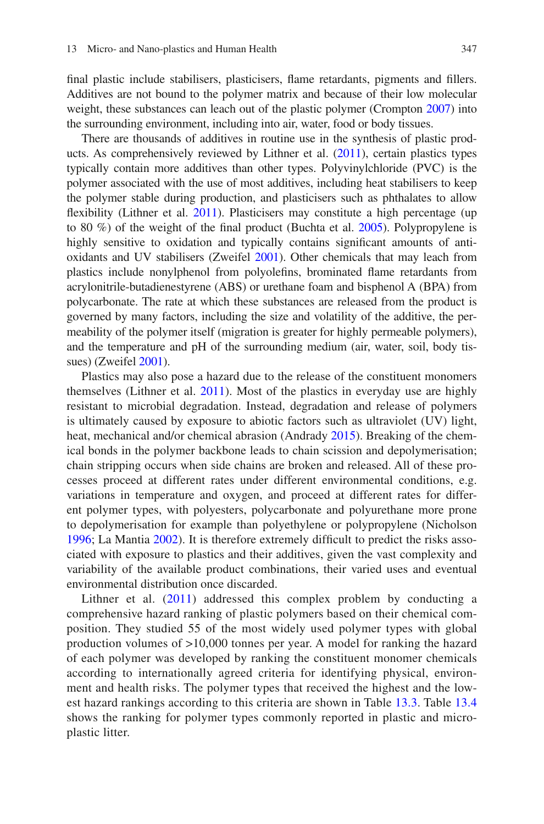final plastic include stabilisers, plasticisers, flame retardants, pigments and fillers. Additives are not bound to the polymer matrix and because of their low molecular weight, these substances can leach out of the plastic polymer (Crompton [2007](#page-19-2)) into the surrounding environment, including into air, water, food or body tissues.

There are thousands of additives in routine use in the synthesis of plastic products. As comprehensively reviewed by Lithner et al. ([2011](#page-21-2)), certain plastics types typically contain more additives than other types. Polyvinylchloride (PVC) is the polymer associated with the use of most additives, including heat stabilisers to keep the polymer stable during production, and plasticisers such as phthalates to allow flexibility (Lithner et al. [2011\)](#page-21-2). Plasticisers may constitute a high percentage (up to 80 %) of the weight of the final product (Buchta et al. [2005](#page-19-3)). Polypropylene is highly sensitive to oxidation and typically contains significant amounts of antioxidants and UV stabilisers (Zweifel [2001\)](#page-23-1). Other chemicals that may leach from plastics include nonylphenol from polyolefins, brominated flame retardants from acrylonitrile-butadienestyrene (ABS) or urethane foam and bisphenol A (BPA) from polycarbonate. The rate at which these substances are released from the product is governed by many factors, including the size and volatility of the additive, the permeability of the polymer itself (migration is greater for highly permeable polymers), and the temperature and pH of the surrounding medium (air, water, soil, body tissues) (Zweifel [2001\)](#page-23-1).

Plastics may also pose a hazard due to the release of the constituent monomers themselves (Lithner et al. [2011\)](#page-21-2). Most of the plastics in everyday use are highly resistant to microbial degradation. Instead, degradation and release of polymers is ultimately caused by exposure to abiotic factors such as ultraviolet (UV) light, heat, mechanical and/or chemical abrasion (Andrady [2015](#page-19-4)). Breaking of the chemical bonds in the polymer backbone leads to chain scission and depolymerisation; chain stripping occurs when side chains are broken and released. All of these processes proceed at different rates under different environmental conditions, e.g. variations in temperature and oxygen, and proceed at different rates for different polymer types, with polyesters, polycarbonate and polyurethane more prone to depolymerisation for example than polyethylene or polypropylene (Nicholson [1996;](#page-22-3) La Mantia [2002\)](#page-21-3). It is therefore extremely difficult to predict the risks associated with exposure to plastics and their additives, given the vast complexity and variability of the available product combinations, their varied uses and eventual environmental distribution once discarded.

Lithner et al. ([2011](#page-21-2)) addressed this complex problem by conducting a comprehensive hazard ranking of plastic polymers based on their chemical composition. They studied 55 of the most widely used polymer types with global production volumes of >10,000 tonnes per year. A model for ranking the hazard of each polymer was developed by ranking the constituent monomer chemicals according to internationally agreed criteria for identifying physical, environment and health risks. The polymer types that received the highest and the lowest hazard rankings according to this criteria are shown in Table [13.3](#page-5-0). Table [13.4](#page-6-0) shows the ranking for polymer types commonly reported in plastic and microplastic litter.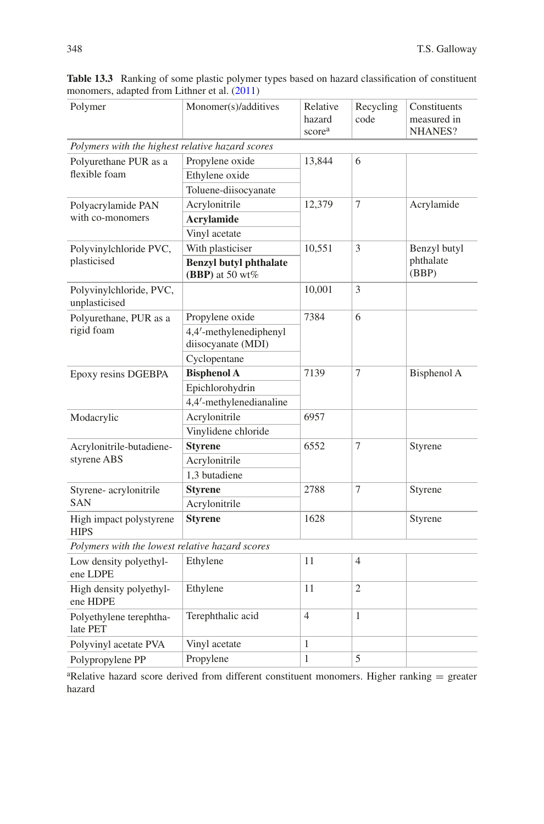| Polymer                                          | Monomer(s)/additives                             | Relative<br>hazard<br>score <sup>a</sup> | Recycling<br>code | Constituents<br>measured in<br><b>NHANES?</b> |
|--------------------------------------------------|--------------------------------------------------|------------------------------------------|-------------------|-----------------------------------------------|
| Polymers with the highest relative hazard scores |                                                  |                                          |                   |                                               |
| Polyurethane PUR as a                            | Propylene oxide                                  | 13,844                                   | 6                 |                                               |
| flexible foam                                    | Ethylene oxide                                   |                                          |                   |                                               |
|                                                  | Toluene-diisocyanate                             |                                          |                   |                                               |
| Polyacrylamide PAN                               | Acrylonitrile                                    | 12,379                                   | 7                 | Acrylamide                                    |
| with co-monomers                                 | <b>Acrylamide</b>                                |                                          |                   |                                               |
|                                                  | Vinyl acetate                                    |                                          |                   |                                               |
| Polyvinylchloride PVC,                           | With plasticiser                                 | 10,551                                   | 3                 | Benzyl butyl<br>phthalate<br>(BBP)            |
| plasticised                                      | <b>Benzyl butyl phthalate</b><br>(BBP) at 50 wt% |                                          |                   |                                               |
| Polyvinylchloride, PVC,<br>unplasticised         |                                                  | 10,001                                   | 3                 |                                               |
| Polyurethane, PUR as a                           | Propylene oxide                                  | 7384                                     | 6                 |                                               |
| rigid foam                                       | 4,4'-methylenediphenyl                           |                                          |                   |                                               |
|                                                  | diisocyanate (MDI)                               |                                          |                   |                                               |
|                                                  | Cyclopentane                                     |                                          |                   |                                               |
| Epoxy resins DGEBPA                              | <b>Bisphenol A</b>                               | 7139                                     | 7                 | Bisphenol A                                   |
|                                                  | Epichlorohydrin                                  |                                          |                   |                                               |
|                                                  | 4,4'-methylenedianaline                          |                                          |                   |                                               |
| Modacrylic                                       | Acrylonitrile                                    | 6957                                     |                   |                                               |
|                                                  | Vinylidene chloride                              |                                          |                   |                                               |
| Acrylonitrile-butadiene-                         | <b>Styrene</b>                                   | 6552                                     | 7                 | Styrene                                       |
| styrene ABS                                      | Acrylonitrile                                    |                                          |                   |                                               |
|                                                  | 1,3 butadiene                                    |                                          |                   |                                               |
| Styrene- acrylonitrile                           | <b>Styrene</b>                                   | 2788                                     | 7                 | Styrene                                       |
| <b>SAN</b>                                       | Acrylonitrile                                    |                                          |                   |                                               |
| High impact polystyrene<br><b>HIPS</b>           | <b>Styrene</b>                                   | 1628                                     |                   | Styrene                                       |
| Polymers with the lowest relative hazard scores  |                                                  |                                          |                   |                                               |
| Low density polyethyl-<br>ene LDPE               | Ethylene                                         | 11                                       | $\overline{4}$    |                                               |
| High density polyethyl-<br>ene HDPE              | Ethylene                                         | 11                                       | $\overline{2}$    |                                               |
| Polyethylene terephtha-<br>late PET              | Terephthalic acid                                | $\overline{4}$                           | $\mathbf{1}$      |                                               |
| Polyvinyl acetate PVA                            | Vinyl acetate                                    | 1                                        |                   |                                               |
| Polypropylene PP                                 | Propylene                                        | 1                                        | 5                 |                                               |
|                                                  |                                                  |                                          |                   |                                               |

<span id="page-5-0"></span>**Table 13.3** Ranking of some plastic polymer types based on hazard classification of constituent monomers, adapted from Lithner et al. ([2011\)](#page-21-2)

<sup>a</sup>Relative hazard score derived from different constituent monomers. Higher ranking = greater hazard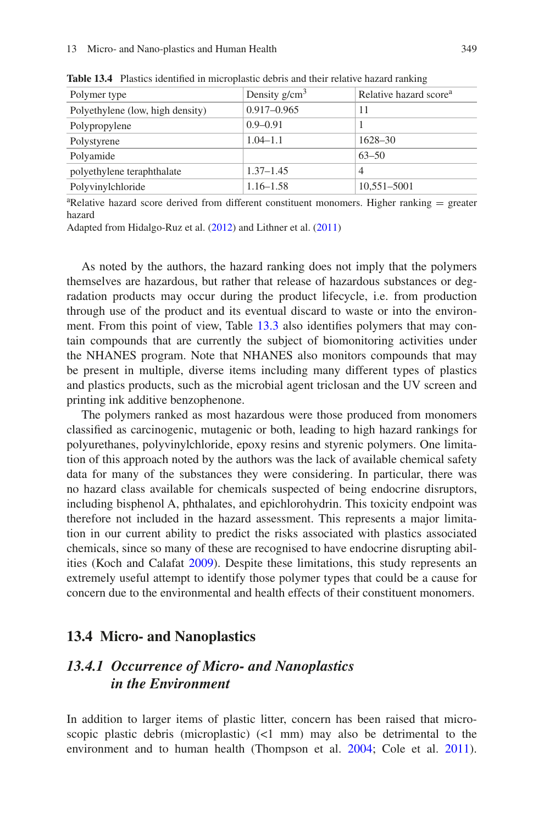| Polymer type                     | Density $g/cm3$ | Relative hazard score <sup>a</sup> |
|----------------------------------|-----------------|------------------------------------|
| Polyethylene (low, high density) | $0.917 - 0.965$ | 11                                 |
| Polypropylene                    | $0.9 - 0.91$    |                                    |
| Polystyrene                      | $1.04 - 1.1$    | $1628 - 30$                        |
| Polyamide                        |                 | $63 - 50$                          |
| polyethylene teraphthalate       | $1.37 - 1.45$   | $\overline{4}$                     |
| Polyvinylchloride                | $1.16 - 1.58$   | 10,551-5001                        |

<span id="page-6-0"></span>**Table 13.4** Plastics identified in microplastic debris and their relative hazard ranking

<sup>a</sup>Relative hazard score derived from different constituent monomers. Higher ranking = greater hazard

Adapted from Hidalgo-Ruz et al. ([2012\)](#page-21-5) and Lithner et al. ([2011\)](#page-21-2)

As noted by the authors, the hazard ranking does not imply that the polymers themselves are hazardous, but rather that release of hazardous substances or degradation products may occur during the product lifecycle, i.e. from production through use of the product and its eventual discard to waste or into the environment. From this point of view, Table [13.3](#page-5-0) also identifies polymers that may contain compounds that are currently the subject of biomonitoring activities under the NHANES program. Note that NHANES also monitors compounds that may be present in multiple, diverse items including many different types of plastics and plastics products, such as the microbial agent triclosan and the UV screen and printing ink additive benzophenone.

The polymers ranked as most hazardous were those produced from monomers classified as carcinogenic, mutagenic or both, leading to high hazard rankings for polyurethanes, polyvinylchloride, epoxy resins and styrenic polymers. One limitation of this approach noted by the authors was the lack of available chemical safety data for many of the substances they were considering. In particular, there was no hazard class available for chemicals suspected of being endocrine disruptors, including bisphenol A, phthalates, and epichlorohydrin. This toxicity endpoint was therefore not included in the hazard assessment. This represents a major limitation in our current ability to predict the risks associated with plastics associated chemicals, since so many of these are recognised to have endocrine disrupting abilities (Koch and Calafat [2009\)](#page-21-4). Despite these limitations, this study represents an extremely useful attempt to identify those polymer types that could be a cause for concern due to the environmental and health effects of their constituent monomers.

#### **13.4 Micro- and Nanoplastics**

# *13.4.1 Occurrence of Micro- and Nanoplastics in the Environment*

In addition to larger items of plastic litter, concern has been raised that microscopic plastic debris (microplastic)  $\ll 1$  mm) may also be detrimental to the environment and to human health (Thompson et al. [2004](#page-23-2); Cole et al. [2011\)](#page-19-5).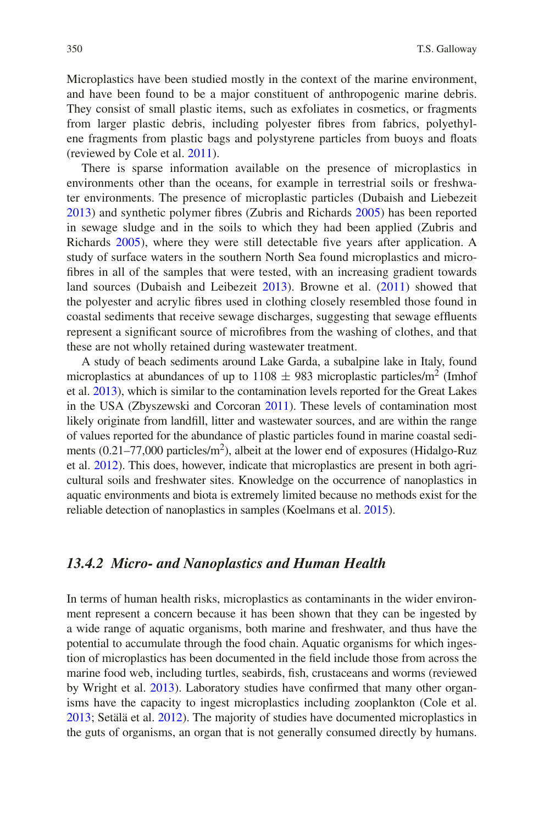Microplastics have been studied mostly in the context of the marine environment, and have been found to be a major constituent of anthropogenic marine debris. They consist of small plastic items, such as exfoliates in cosmetics, or fragments from larger plastic debris, including polyester fibres from fabrics, polyethylene fragments from plastic bags and polystyrene particles from buoys and floats (reviewed by Cole et al. [2011\)](#page-19-5).

There is sparse information available on the presence of microplastics in environments other than the oceans, for example in terrestrial soils or freshwater environments. The presence of microplastic particles (Dubaish and Liebezeit [2013\)](#page-19-6) and synthetic polymer fibres (Zubris and Richards [2005](#page-23-3)) has been reported in sewage sludge and in the soils to which they had been applied (Zubris and Richards [2005\)](#page-23-3), where they were still detectable five years after application. A study of surface waters in the southern North Sea found microplastics and microfibres in all of the samples that were tested, with an increasing gradient towards land sources (Dubaish and Leibezeit [2013](#page-19-6)). Browne et al. ([2011\)](#page-19-7) showed that the polyester and acrylic fibres used in clothing closely resembled those found in coastal sediments that receive sewage discharges, suggesting that sewage effluents represent a significant source of microfibres from the washing of clothes, and that these are not wholly retained during wastewater treatment.

A study of beach sediments around Lake Garda, a subalpine lake in Italy, found microplastics at abundances of up to  $1108 \pm 983$  microplastic particles/m<sup>2</sup> (Imhof et al. [2013\)](#page-21-6), which is similar to the contamination levels reported for the Great Lakes in the USA (Zbyszewski and Corcoran [2011\)](#page-23-4). These levels of contamination most likely originate from landfill, litter and wastewater sources, and are within the range of values reported for the abundance of plastic particles found in marine coastal sediments  $(0.21-77,000$  particles/m<sup>2</sup>), albeit at the lower end of exposures (Hidalgo-Ruz et al. [2012\)](#page-21-5). This does, however, indicate that microplastics are present in both agricultural soils and freshwater sites. Knowledge on the occurrence of nanoplastics in aquatic environments and biota is extremely limited because no methods exist for the reliable detection of nanoplastics in samples (Koelmans et al. [2015\)](#page-21-7).

#### *13.4.2 Micro- and Nanoplastics and Human Health*

In terms of human health risks, microplastics as contaminants in the wider environment represent a concern because it has been shown that they can be ingested by a wide range of aquatic organisms, both marine and freshwater, and thus have the potential to accumulate through the food chain. Aquatic organisms for which ingestion of microplastics has been documented in the field include those from across the marine food web, including turtles, seabirds, fish, crustaceans and worms (reviewed by Wright et al. [2013](#page-23-5)). Laboratory studies have confirmed that many other organisms have the capacity to ingest microplastics including zooplankton (Cole et al. [2013;](#page-19-8) Setälä et al. [2012](#page-22-4)). The majority of studies have documented microplastics in the guts of organisms, an organ that is not generally consumed directly by humans.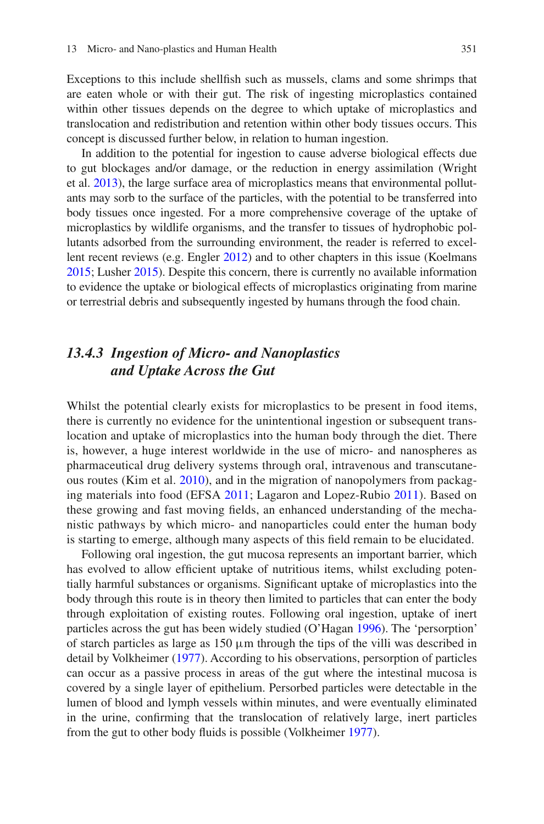Exceptions to this include shellfish such as mussels, clams and some shrimps that are eaten whole or with their gut. The risk of ingesting microplastics contained within other tissues depends on the degree to which uptake of microplastics and translocation and redistribution and retention within other body tissues occurs. This concept is discussed further below, in relation to human ingestion.

In addition to the potential for ingestion to cause adverse biological effects due to gut blockages and/or damage, or the reduction in energy assimilation (Wright et al. [2013](#page-23-5)), the large surface area of microplastics means that environmental pollutants may sorb to the surface of the particles, with the potential to be transferred into body tissues once ingested. For a more comprehensive coverage of the uptake of microplastics by wildlife organisms, and the transfer to tissues of hydrophobic pollutants adsorbed from the surrounding environment, the reader is referred to excellent recent reviews (e.g. Engler [2012](#page-20-4)) and to other chapters in this issue (Koelmans [2015](#page-21-8); Lusher [2015\)](#page-21-9). Despite this concern, there is currently no available information to evidence the uptake or biological effects of microplastics originating from marine or terrestrial debris and subsequently ingested by humans through the food chain.

# *13.4.3 Ingestion of Micro- and Nanoplastics and Uptake Across the Gut*

Whilst the potential clearly exists for microplastics to be present in food items, there is currently no evidence for the unintentional ingestion or subsequent translocation and uptake of microplastics into the human body through the diet. There is, however, a huge interest worldwide in the use of micro- and nanospheres as pharmaceutical drug delivery systems through oral, intravenous and transcutaneous routes (Kim et al. [2010](#page-21-10)), and in the migration of nanopolymers from packaging materials into food (EFSA [2011;](#page-20-3) Lagaron and Lopez-Rubio [2011\)](#page-21-11). Based on these growing and fast moving fields, an enhanced understanding of the mechanistic pathways by which micro- and nanoparticles could enter the human body is starting to emerge, although many aspects of this field remain to be elucidated.

Following oral ingestion, the gut mucosa represents an important barrier, which has evolved to allow efficient uptake of nutritious items, whilst excluding potentially harmful substances or organisms. Significant uptake of microplastics into the body through this route is in theory then limited to particles that can enter the body through exploitation of existing routes. Following oral ingestion, uptake of inert particles across the gut has been widely studied (O'Hagan [1996](#page-22-5)). The 'persorption' of starch particles as large as  $150 \mu m$  through the tips of the villi was described in detail by Volkheimer [\(1977](#page-23-6)). According to his observations, persorption of particles can occur as a passive process in areas of the gut where the intestinal mucosa is covered by a single layer of epithelium. Persorbed particles were detectable in the lumen of blood and lymph vessels within minutes, and were eventually eliminated in the urine, confirming that the translocation of relatively large, inert particles from the gut to other body fluids is possible (Volkheimer [1977](#page-23-6)).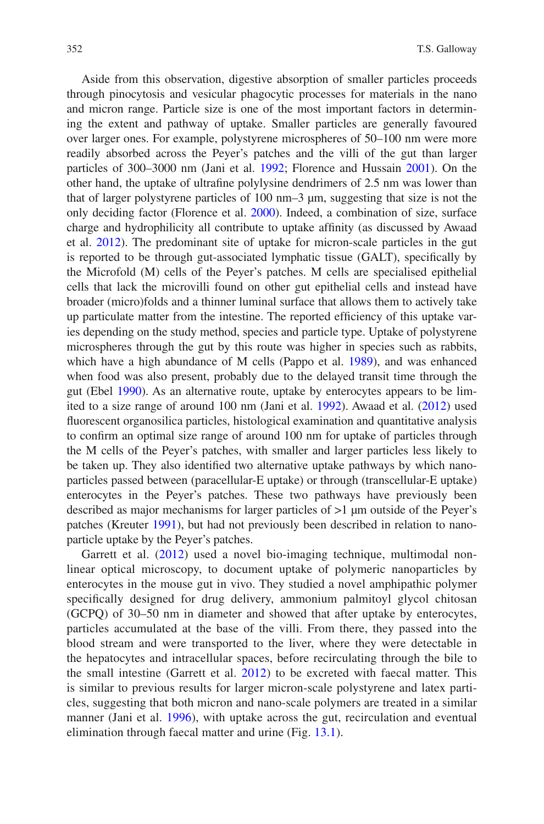Aside from this observation, digestive absorption of smaller particles proceeds through pinocytosis and vesicular phagocytic processes for materials in the nano and micron range. Particle size is one of the most important factors in determining the extent and pathway of uptake. Smaller particles are generally favoured over larger ones. For example, polystyrene microspheres of 50–100 nm were more readily absorbed across the Peyer's patches and the villi of the gut than larger particles of 300–3000 nm (Jani et al. [1992;](#page-21-12) Florence and Hussain [2001\)](#page-20-5). On the other hand, the uptake of ultrafine polylysine dendrimers of 2.5 nm was lower than that of larger polystyrene particles of 100 nm–3 µm, suggesting that size is not the only deciding factor (Florence et al. [2000](#page-20-6)). Indeed, a combination of size, surface charge and hydrophilicity all contribute to uptake affinity (as discussed by Awaad et al. [2012\)](#page-19-9). The predominant site of uptake for micron-scale particles in the gut is reported to be through gut-associated lymphatic tissue (GALT), specifically by the Microfold (M) cells of the Peyer's patches. M cells are specialised epithelial cells that lack the microvilli found on other gut epithelial cells and instead have broader (micro)folds and a thinner luminal surface that allows them to actively take up particulate matter from the intestine. The reported efficiency of this uptake varies depending on the study method, species and particle type. Uptake of polystyrene microspheres through the gut by this route was higher in species such as rabbits, which have a high abundance of M cells (Pappo et al. [1989](#page-22-6)), and was enhanced when food was also present, probably due to the delayed transit time through the gut (Ebel [1990](#page-19-10)). As an alternative route, uptake by enterocytes appears to be limited to a size range of around 100 nm (Jani et al. [1992\)](#page-21-12). Awaad et al. [\(2012\)](#page-19-9) used fluorescent organosilica particles, histological examination and quantitative analysis to confirm an optimal size range of around 100 nm for uptake of particles through the M cells of the Peyer's patches, with smaller and larger particles less likely to be taken up. They also identified two alternative uptake pathways by which nanoparticles passed between (paracellular-E uptake) or through (transcellular-E uptake) enterocytes in the Peyer's patches. These two pathways have previously been described as major mechanisms for larger particles of >1 µm outside of the Peyer's patches (Kreuter [1991\)](#page-21-13), but had not previously been described in relation to nanoparticle uptake by the Peyer's patches.

Garrett et al. ([2012\)](#page-20-7) used a novel bio-imaging technique, multimodal nonlinear optical microscopy, to document uptake of polymeric nanoparticles by enterocytes in the mouse gut in vivo. They studied a novel amphipathic polymer specifically designed for drug delivery, ammonium palmitoyl glycol chitosan (GCPQ) of 30–50 nm in diameter and showed that after uptake by enterocytes, particles accumulated at the base of the villi. From there, they passed into the blood stream and were transported to the liver, where they were detectable in the hepatocytes and intracellular spaces, before recirculating through the bile to the small intestine (Garrett et al. [2012](#page-20-7)) to be excreted with faecal matter. This is similar to previous results for larger micron-scale polystyrene and latex particles, suggesting that both micron and nano-scale polymers are treated in a similar manner (Jani et al. [1996\)](#page-21-14), with uptake across the gut, recirculation and eventual elimination through faecal matter and urine (Fig. [13.1\)](#page-10-0).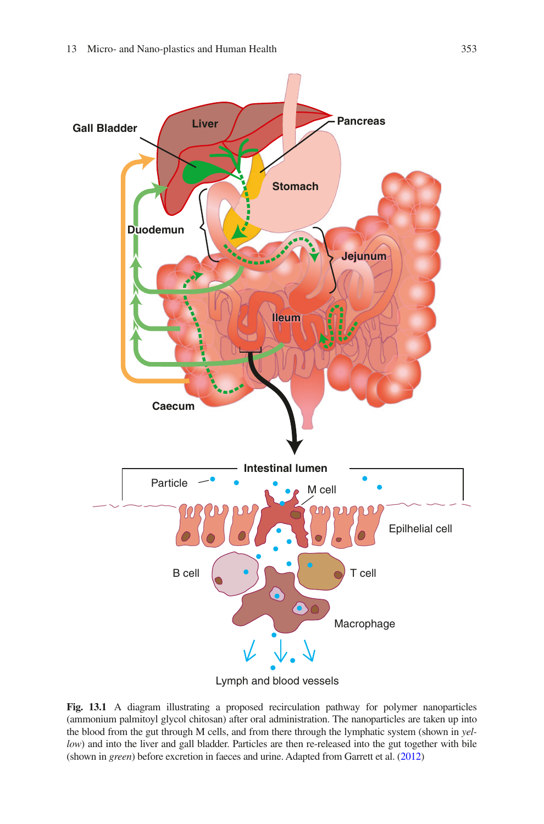

Lymph and blood vessels

<span id="page-10-0"></span>**Fig. 13.1** A diagram illustrating a proposed recirculation pathway for polymer nanoparticles (ammonium palmitoyl glycol chitosan) after oral administration. The nanoparticles are taken up into the blood from the gut through M cells, and from there through the lymphatic system (shown in *yellow*) and into the liver and gall bladder. Particles are then re-released into the gut together with bile (shown in *green*) before excretion in faeces and urine. Adapted from Garrett et al. ([2012](#page-20-7))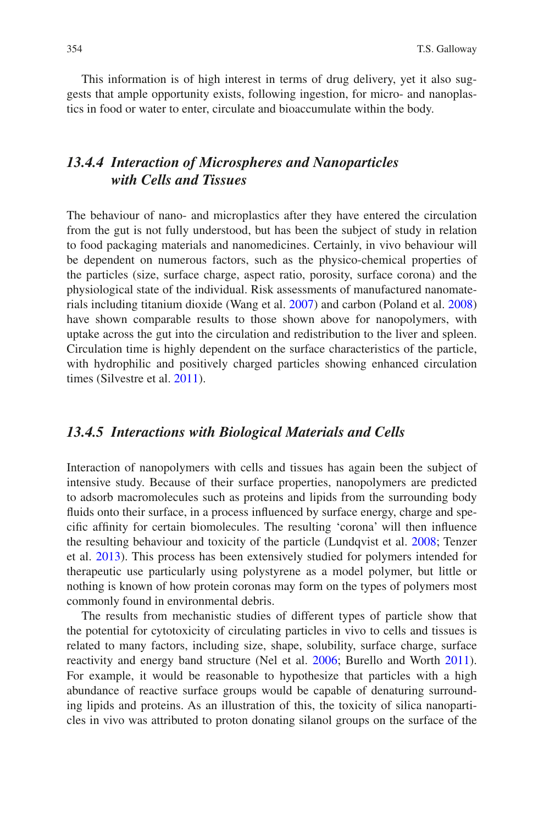This information is of high interest in terms of drug delivery, yet it also suggests that ample opportunity exists, following ingestion, for micro- and nanoplastics in food or water to enter, circulate and bioaccumulate within the body.

# *13.4.4 Interaction of Microspheres and Nanoparticles with Cells and Tissues*

The behaviour of nano- and microplastics after they have entered the circulation from the gut is not fully understood, but has been the subject of study in relation to food packaging materials and nanomedicines. Certainly, in vivo behaviour will be dependent on numerous factors, such as the physico-chemical properties of the particles (size, surface charge, aspect ratio, porosity, surface corona) and the physiological state of the individual. Risk assessments of manufactured nanomaterials including titanium dioxide (Wang et al. [2007\)](#page-23-7) and carbon (Poland et al. [2008](#page-22-7)) have shown comparable results to those shown above for nanopolymers, with uptake across the gut into the circulation and redistribution to the liver and spleen. Circulation time is highly dependent on the surface characteristics of the particle, with hydrophilic and positively charged particles showing enhanced circulation times (Silvestre et al. [2011\)](#page-23-8).

## *13.4.5 Interactions with Biological Materials and Cells*

Interaction of nanopolymers with cells and tissues has again been the subject of intensive study. Because of their surface properties, nanopolymers are predicted to adsorb macromolecules such as proteins and lipids from the surrounding body fluids onto their surface, in a process influenced by surface energy, charge and specific affinity for certain biomolecules. The resulting 'corona' will then influence the resulting behaviour and toxicity of the particle (Lundqvist et al. [2008;](#page-21-15) Tenzer et al. [2013\)](#page-23-9). This process has been extensively studied for polymers intended for therapeutic use particularly using polystyrene as a model polymer, but little or nothing is known of how protein coronas may form on the types of polymers most commonly found in environmental debris.

The results from mechanistic studies of different types of particle show that the potential for cytotoxicity of circulating particles in vivo to cells and tissues is related to many factors, including size, shape, solubility, surface charge, surface reactivity and energy band structure (Nel et al. [2006;](#page-22-8) Burello and Worth [2011\)](#page-19-11). For example, it would be reasonable to hypothesize that particles with a high abundance of reactive surface groups would be capable of denaturing surrounding lipids and proteins. As an illustration of this, the toxicity of silica nanoparticles in vivo was attributed to proton donating silanol groups on the surface of the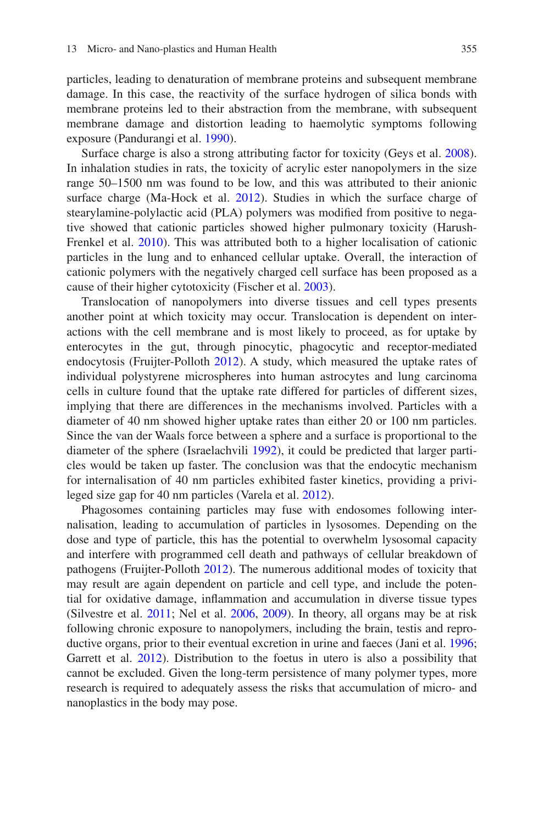particles, leading to denaturation of membrane proteins and subsequent membrane damage. In this case, the reactivity of the surface hydrogen of silica bonds with membrane proteins led to their abstraction from the membrane, with subsequent membrane damage and distortion leading to haemolytic symptoms following exposure (Pandurangi et al. [1990](#page-22-9)).

Surface charge is also a strong attributing factor for toxicity (Geys et al. [2008\)](#page-20-8). In inhalation studies in rats, the toxicity of acrylic ester nanopolymers in the size range 50–1500 nm was found to be low, and this was attributed to their anionic surface charge (Ma-Hock et al. [2012](#page-21-16)). Studies in which the surface charge of stearylamine-polylactic acid (PLA) polymers was modified from positive to negative showed that cationic particles showed higher pulmonary toxicity (Harush-Frenkel et al. [2010\)](#page-20-9). This was attributed both to a higher localisation of cationic particles in the lung and to enhanced cellular uptake. Overall, the interaction of cationic polymers with the negatively charged cell surface has been proposed as a cause of their higher cytotoxicity (Fischer et al. [2003\)](#page-20-10).

Translocation of nanopolymers into diverse tissues and cell types presents another point at which toxicity may occur. Translocation is dependent on interactions with the cell membrane and is most likely to proceed, as for uptake by enterocytes in the gut, through pinocytic, phagocytic and receptor-mediated endocytosis (Fruijter-Polloth [2012](#page-20-11)). A study, which measured the uptake rates of individual polystyrene microspheres into human astrocytes and lung carcinoma cells in culture found that the uptake rate differed for particles of different sizes, implying that there are differences in the mechanisms involved. Particles with a diameter of 40 nm showed higher uptake rates than either 20 or 100 nm particles. Since the van der Waals force between a sphere and a surface is proportional to the diameter of the sphere (Israelachvili [1992\)](#page-21-17), it could be predicted that larger particles would be taken up faster. The conclusion was that the endocytic mechanism for internalisation of 40 nm particles exhibited faster kinetics, providing a privileged size gap for 40 nm particles (Varela et al. [2012](#page-23-10)).

Phagosomes containing particles may fuse with endosomes following internalisation, leading to accumulation of particles in lysosomes. Depending on the dose and type of particle, this has the potential to overwhelm lysosomal capacity and interfere with programmed cell death and pathways of cellular breakdown of pathogens (Fruijter-Polloth [2012\)](#page-20-11). The numerous additional modes of toxicity that may result are again dependent on particle and cell type, and include the potential for oxidative damage, inflammation and accumulation in diverse tissue types (Silvestre et al. [2011;](#page-23-8) Nel et al. [2006](#page-22-8), [2009\)](#page-22-10). In theory, all organs may be at risk following chronic exposure to nanopolymers, including the brain, testis and reproductive organs, prior to their eventual excretion in urine and faeces (Jani et al. [1996;](#page-21-14) Garrett et al. [2012](#page-20-7)). Distribution to the foetus in utero is also a possibility that cannot be excluded. Given the long-term persistence of many polymer types, more research is required to adequately assess the risks that accumulation of micro- and nanoplastics in the body may pose.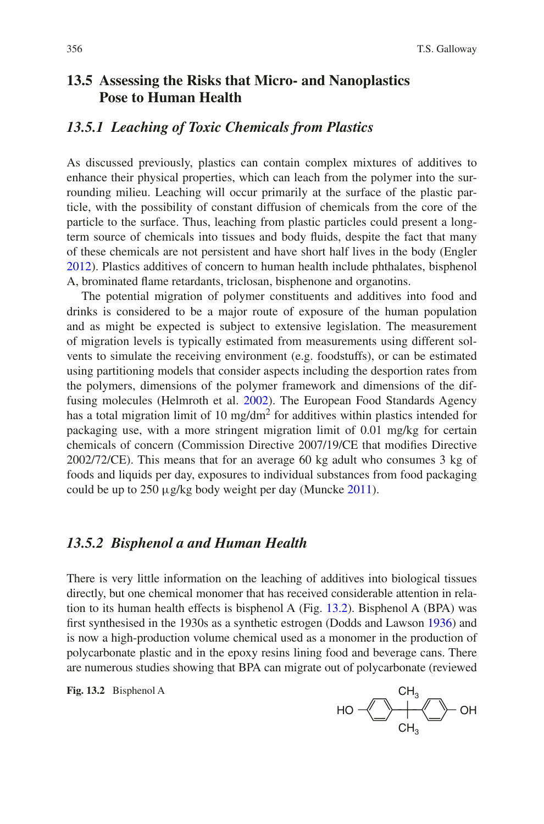# **13.5 Assessing the Risks that Micro- and Nanoplastics Pose to Human Health**

## *13.5.1 Leaching of Toxic Chemicals from Plastics*

As discussed previously, plastics can contain complex mixtures of additives to enhance their physical properties, which can leach from the polymer into the surrounding milieu. Leaching will occur primarily at the surface of the plastic particle, with the possibility of constant diffusion of chemicals from the core of the particle to the surface. Thus, leaching from plastic particles could present a longterm source of chemicals into tissues and body fluids, despite the fact that many of these chemicals are not persistent and have short half lives in the body (Engler [2012\)](#page-20-4). Plastics additives of concern to human health include phthalates, bisphenol A, brominated flame retardants, triclosan, bisphenone and organotins.

The potential migration of polymer constituents and additives into food and drinks is considered to be a major route of exposure of the human population and as might be expected is subject to extensive legislation. The measurement of migration levels is typically estimated from measurements using different solvents to simulate the receiving environment (e.g. foodstuffs), or can be estimated using partitioning models that consider aspects including the desportion rates from the polymers, dimensions of the polymer framework and dimensions of the diffusing molecules (Helmroth et al. [2002\)](#page-20-12). The European Food Standards Agency has a total migration limit of 10 mg/dm<sup>2</sup> for additives within plastics intended for packaging use, with a more stringent migration limit of 0.01 mg/kg for certain chemicals of concern (Commission Directive 2007/19/CE that modifies Directive 2002/72/CE). This means that for an average 60 kg adult who consumes 3 kg of foods and liquids per day, exposures to individual substances from food packaging could be up to  $250 \mu g/kg$  body weight per day (Muncke [2011\)](#page-22-11).

#### *13.5.2 Bisphenol a and Human Health*

There is very little information on the leaching of additives into biological tissues directly, but one chemical monomer that has received considerable attention in relation to its human health effects is bisphenol A (Fig. [13.2\)](#page-13-0). Bisphenol A (BPA) was first synthesised in the 1930s as a synthetic estrogen (Dodds and Lawson [1936](#page-19-12)) and is now a high-production volume chemical used as a monomer in the production of polycarbonate plastic and in the epoxy resins lining food and beverage cans. There are numerous studies showing that BPA can migrate out of polycarbonate (reviewed

<span id="page-13-0"></span>**Fig. 13.2** Bisphenol A

$$
\rm HO\begin{picture}(100,10) \put(0,0){\line(1,0){10}} \put(10,0){\line(1,0){10}} \put(10,0){\line(1,0){10}} \put(10,0){\line(1,0){10}} \put(10,0){\line(1,0){10}} \put(10,0){\line(1,0){10}} \put(10,0){\line(1,0){10}} \put(10,0){\line(1,0){10}} \put(10,0){\line(1,0){10}} \put(10,0){\line(1,0){10}} \put(10,0){\line(1,0){10}} \put(10,0){\line(1,0){10}} \put(10,0){\line(1,0){10}} \put(10,0){\line(1,0){10}} \put(10,0){\line(1,0){10}} \put(10,0){\line(1,0){10}} \put(10,0){\line(1,0){10}} \put(10,0){\line(1,0){10}} \put(10,0){\line(1,0){10}} \put(10,0){\line(1,0){10}} \put(10,0){\line(1,0){10}} \put(10,0){\line(1,0){10}} \put(10,0){\line(1,0){10}} \put(10,0){\line(1,0){10}} \put(10,0){\line(1,0){10}} \put(10,0){\line(1,0){10}} \put(10,0){\line(1,0){10}} \put(10,0){\line(1,0){10}} \put(10,0){\line(1,0){10}} \put(10,0){\line(1,0){10}} \put(10,0){\line(1,0){10}} \put(10,0){\line(1,0){10}} \put(10,0){\line(1,0){10}} \put(10,0){\line(1,0){10}} \put(10,0){\line(1,0){10}} \put(10,0){\line(1,0){10}} \put(10,0){\line(1,0){10}} \put(10,0){\line(1,0){10}} \put(10,0){\line(1,0){10}} \put(10,0){\line(1,0){10}} \put(10,0){\line(1,0){10}} \put(10,0){
$$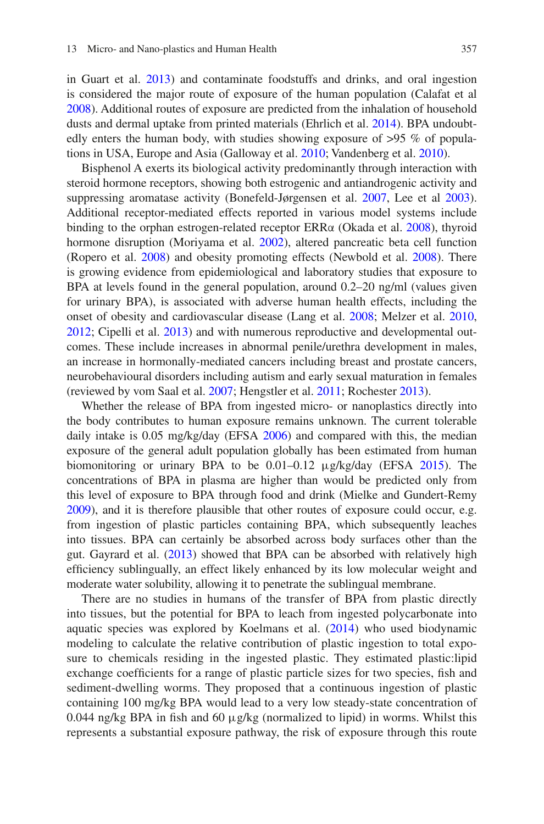in Guart et al. [2013\)](#page-20-13) and contaminate foodstuffs and drinks, and oral ingestion is considered the major route of exposure of the human population (Calafat et al [2008\)](#page-19-13). Additional routes of exposure are predicted from the inhalation of household dusts and dermal uptake from printed materials (Ehrlich et al. [2014](#page-20-14)). BPA undoubtedly enters the human body, with studies showing exposure of >95 % of populations in USA, Europe and Asia (Galloway et al. [2010;](#page-20-15) Vandenberg et al. [2010](#page-23-11)).

Bisphenol A exerts its biological activity predominantly through interaction with steroid hormone receptors, showing both estrogenic and antiandrogenic activity and suppressing aromatase activity (Bonefeld-Jørgensen et al. [2007](#page-19-14), Lee et al [2003\)](#page-21-18). Additional receptor-mediated effects reported in various model systems include binding to the orphan estrogen-related receptor ERRα (Okada et al. [2008](#page-22-12)), thyroid hormone disruption (Moriyama et al. [2002](#page-22-13)), altered pancreatic beta cell function (Ropero et al. [2008\)](#page-22-14) and obesity promoting effects (Newbold et al. [2008](#page-22-15)). There is growing evidence from epidemiological and laboratory studies that exposure to BPA at levels found in the general population, around 0.2–20 ng/ml (values given for urinary BPA), is associated with adverse human health effects, including the onset of obesity and cardiovascular disease (Lang et al. [2008](#page-21-19); Melzer et al. [2010,](#page-22-16) [2012;](#page-22-17) Cipelli et al. [2013](#page-19-15)) and with numerous reproductive and developmental outcomes. These include increases in abnormal penile/urethra development in males, an increase in hormonally-mediated cancers including breast and prostate cancers, neurobehavioural disorders including autism and early sexual maturation in females (reviewed by vom Saal et al. [2007](#page-23-12); Hengstler et al. [2011;](#page-20-16) Rochester [2013\)](#page-22-18).

Whether the release of BPA from ingested micro- or nanoplastics directly into the body contributes to human exposure remains unknown. The current tolerable daily intake is 0.05 mg/kg/day (EFSA [2006](#page-20-17)) and compared with this, the median exposure of the general adult population globally has been estimated from human biomonitoring or urinary BPA to be  $0.01-0.12 \mu g/kg/day$  (EFSA [2015](#page-20-18)). The concentrations of BPA in plasma are higher than would be predicted only from this level of exposure to BPA through food and drink (Mielke and Gundert-Remy [2009\)](#page-22-19), and it is therefore plausible that other routes of exposure could occur, e.g. from ingestion of plastic particles containing BPA, which subsequently leaches into tissues. BPA can certainly be absorbed across body surfaces other than the gut. Gayrard et al. ([2013\)](#page-20-19) showed that BPA can be absorbed with relatively high efficiency sublingually, an effect likely enhanced by its low molecular weight and moderate water solubility, allowing it to penetrate the sublingual membrane.

There are no studies in humans of the transfer of BPA from plastic directly into tissues, but the potential for BPA to leach from ingested polycarbonate into aquatic species was explored by Koelmans et al. ([2014\)](#page-21-20) who used biodynamic modeling to calculate the relative contribution of plastic ingestion to total exposure to chemicals residing in the ingested plastic. They estimated plastic:lipid exchange coefficients for a range of plastic particle sizes for two species, fish and sediment-dwelling worms. They proposed that a continuous ingestion of plastic containing 100 mg/kg BPA would lead to a very low steady-state concentration of 0.044 ng/kg BPA in fish and 60  $\mu$ g/kg (normalized to lipid) in worms. Whilst this represents a substantial exposure pathway, the risk of exposure through this route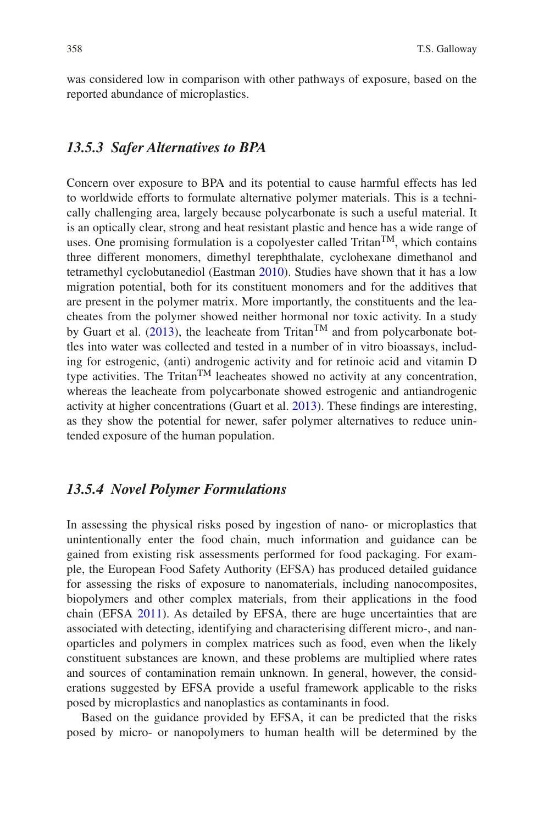was considered low in comparison with other pathways of exposure, based on the reported abundance of microplastics.

#### *13.5.3 Safer Alternatives to BPA*

Concern over exposure to BPA and its potential to cause harmful effects has led to worldwide efforts to formulate alternative polymer materials. This is a technically challenging area, largely because polycarbonate is such a useful material. It is an optically clear, strong and heat resistant plastic and hence has a wide range of uses. One promising formulation is a copolyester called Tritan<sup>TM</sup>, which contains three different monomers, dimethyl terephthalate, cyclohexane dimethanol and tetramethyl cyclobutanediol (Eastman [2010](#page-19-16)). Studies have shown that it has a low migration potential, both for its constituent monomers and for the additives that are present in the polymer matrix. More importantly, the constituents and the leacheates from the polymer showed neither hormonal nor toxic activity. In a study by Guart et al. ([2013\)](#page-20-13), the leacheate from Tritan<sup>TM</sup> and from polycarbonate bottles into water was collected and tested in a number of in vitro bioassays, including for estrogenic, (anti) androgenic activity and for retinoic acid and vitamin D type activities. The TritanTM leacheates showed no activity at any concentration, whereas the leacheate from polycarbonate showed estrogenic and antiandrogenic activity at higher concentrations (Guart et al. [2013](#page-20-13)). These findings are interesting, as they show the potential for newer, safer polymer alternatives to reduce unintended exposure of the human population.

#### *13.5.4 Novel Polymer Formulations*

In assessing the physical risks posed by ingestion of nano- or microplastics that unintentionally enter the food chain, much information and guidance can be gained from existing risk assessments performed for food packaging. For example, the European Food Safety Authority (EFSA) has produced detailed guidance for assessing the risks of exposure to nanomaterials, including nanocomposites, biopolymers and other complex materials, from their applications in the food chain (EFSA [2011](#page-20-3)). As detailed by EFSA, there are huge uncertainties that are associated with detecting, identifying and characterising different micro-, and nanoparticles and polymers in complex matrices such as food, even when the likely constituent substances are known, and these problems are multiplied where rates and sources of contamination remain unknown. In general, however, the considerations suggested by EFSA provide a useful framework applicable to the risks posed by microplastics and nanoplastics as contaminants in food.

Based on the guidance provided by EFSA, it can be predicted that the risks posed by micro- or nanopolymers to human health will be determined by the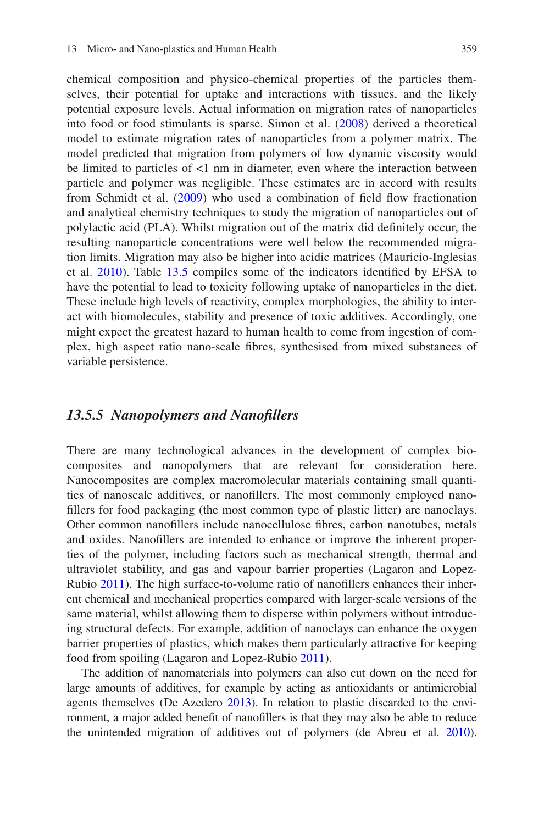chemical composition and physico-chemical properties of the particles themselves, their potential for uptake and interactions with tissues, and the likely potential exposure levels. Actual information on migration rates of nanoparticles into food or food stimulants is sparse. Simon et al. [\(2008](#page-23-13)) derived a theoretical model to estimate migration rates of nanoparticles from a polymer matrix. The model predicted that migration from polymers of low dynamic viscosity would be limited to particles of <1 nm in diameter, even where the interaction between particle and polymer was negligible. These estimates are in accord with results from Schmidt et al. ([2009\)](#page-22-20) who used a combination of field flow fractionation and analytical chemistry techniques to study the migration of nanoparticles out of polylactic acid (PLA). Whilst migration out of the matrix did definitely occur, the resulting nanoparticle concentrations were well below the recommended migration limits. Migration may also be higher into acidic matrices (Mauricio-Inglesias et al. [2010\)](#page-21-21). Table [13.5](#page-17-0) compiles some of the indicators identified by EFSA to have the potential to lead to toxicity following uptake of nanoparticles in the diet. These include high levels of reactivity, complex morphologies, the ability to interact with biomolecules, stability and presence of toxic additives. Accordingly, one might expect the greatest hazard to human health to come from ingestion of complex, high aspect ratio nano-scale fibres, synthesised from mixed substances of variable persistence.

#### *13.5.5 Nanopolymers and Nanofillers*

There are many technological advances in the development of complex biocomposites and nanopolymers that are relevant for consideration here. Nanocomposites are complex macromolecular materials containing small quantities of nanoscale additives, or nanofillers. The most commonly employed nanofillers for food packaging (the most common type of plastic litter) are nanoclays. Other common nanofillers include nanocellulose fibres, carbon nanotubes, metals and oxides. Nanofillers are intended to enhance or improve the inherent properties of the polymer, including factors such as mechanical strength, thermal and ultraviolet stability, and gas and vapour barrier properties (Lagaron and Lopez-Rubio [2011](#page-21-11)). The high surface-to-volume ratio of nanofillers enhances their inherent chemical and mechanical properties compared with larger-scale versions of the same material, whilst allowing them to disperse within polymers without introducing structural defects. For example, addition of nanoclays can enhance the oxygen barrier properties of plastics, which makes them particularly attractive for keeping food from spoiling (Lagaron and Lopez-Rubio [2011\)](#page-21-11).

The addition of nanomaterials into polymers can also cut down on the need for large amounts of additives, for example by acting as antioxidants or antimicrobial agents themselves (De Azedero [2013](#page-19-17)). In relation to plastic discarded to the environment, a major added benefit of nanofillers is that they may also be able to reduce the unintended migration of additives out of polymers (de Abreu et al. [2010\)](#page-19-18).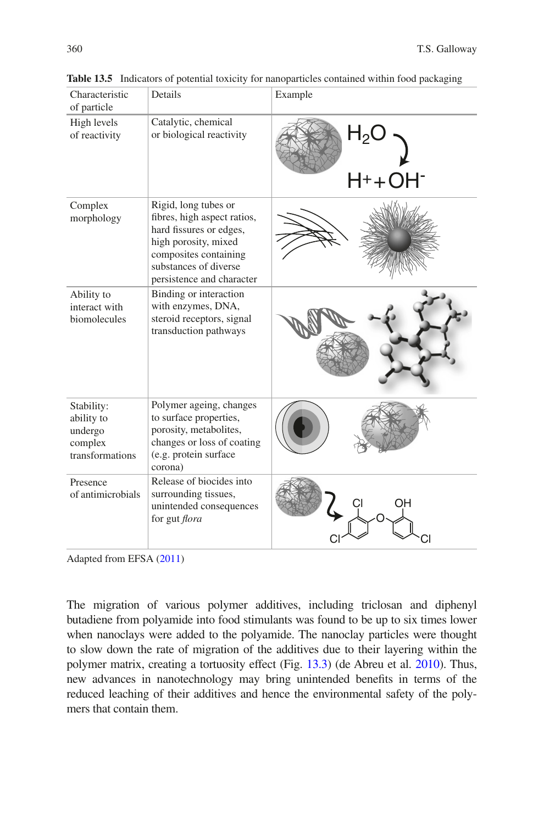| Characteristic<br>of particle                                     | Details                                                                                                                                                                               | Example                         |
|-------------------------------------------------------------------|---------------------------------------------------------------------------------------------------------------------------------------------------------------------------------------|---------------------------------|
| High levels<br>of reactivity                                      | Catalytic, chemical<br>or biological reactivity                                                                                                                                       | $H_2$<br>$H^+$ +OH <sup>-</sup> |
| Complex<br>morphology                                             | Rigid, long tubes or<br>fibres, high aspect ratios,<br>hard fissures or edges,<br>high porosity, mixed<br>composites containing<br>substances of diverse<br>persistence and character |                                 |
| Ability to<br>interact with<br>biomolecules                       | Binding or interaction<br>with enzymes, DNA,<br>steroid receptors, signal<br>transduction pathways                                                                                    |                                 |
| Stability:<br>ability to<br>undergo<br>complex<br>transformations | Polymer ageing, changes<br>to surface properties,<br>porosity, metabolites,<br>changes or loss of coating<br>(e.g. protein surface<br>corona)                                         |                                 |
| Presence<br>of antimicrobials                                     | Release of biocides into<br>surrounding tissues,<br>unintended consequences<br>for gut flora                                                                                          |                                 |

<span id="page-17-0"></span>**Table 13.5** Indicators of potential toxicity for nanoparticles contained within food packaging

Adapted from EFSA [\(2011](#page-20-3))

The migration of various polymer additives, including triclosan and diphenyl butadiene from polyamide into food stimulants was found to be up to six times lower when nanoclays were added to the polyamide. The nanoclay particles were thought to slow down the rate of migration of the additives due to their layering within the polymer matrix, creating a tortuosity effect (Fig. [13.3\)](#page-18-0) (de Abreu et al. [2010](#page-19-18)). Thus, new advances in nanotechnology may bring unintended benefits in terms of the reduced leaching of their additives and hence the environmental safety of the polymers that contain them.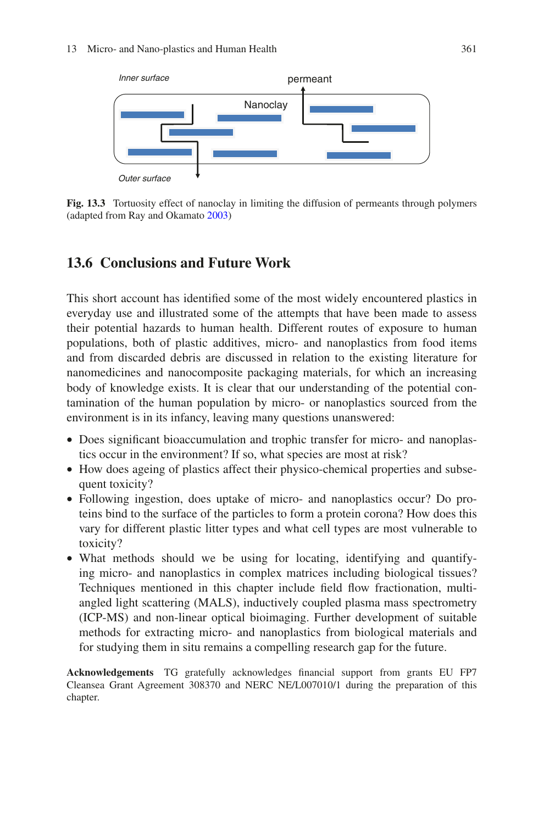

<span id="page-18-0"></span>**Fig. 13.3** Tortuosity effect of nanoclay in limiting the diffusion of permeants through polymers (adapted from Ray and Okamato [2003](#page-22-21))

## **13.6 Conclusions and Future Work**

This short account has identified some of the most widely encountered plastics in everyday use and illustrated some of the attempts that have been made to assess their potential hazards to human health. Different routes of exposure to human populations, both of plastic additives, micro- and nanoplastics from food items and from discarded debris are discussed in relation to the existing literature for nanomedicines and nanocomposite packaging materials, for which an increasing body of knowledge exists. It is clear that our understanding of the potential contamination of the human population by micro- or nanoplastics sourced from the environment is in its infancy, leaving many questions unanswered:

- Does significant bioaccumulation and trophic transfer for micro- and nanoplastics occur in the environment? If so, what species are most at risk?
- How does ageing of plastics affect their physico-chemical properties and subsequent toxicity?
- Following ingestion, does uptake of micro- and nanoplastics occur? Do proteins bind to the surface of the particles to form a protein corona? How does this vary for different plastic litter types and what cell types are most vulnerable to toxicity?
- What methods should we be using for locating, identifying and quantifying micro- and nanoplastics in complex matrices including biological tissues? Techniques mentioned in this chapter include field flow fractionation, multiangled light scattering (MALS), inductively coupled plasma mass spectrometry (ICP-MS) and non-linear optical bioimaging. Further development of suitable methods for extracting micro- and nanoplastics from biological materials and for studying them in situ remains a compelling research gap for the future.

**Acknowledgements** TG gratefully acknowledges financial support from grants EU FP7 Cleansea Grant Agreement 308370 and NERC NE/L007010/1 during the preparation of this chapter.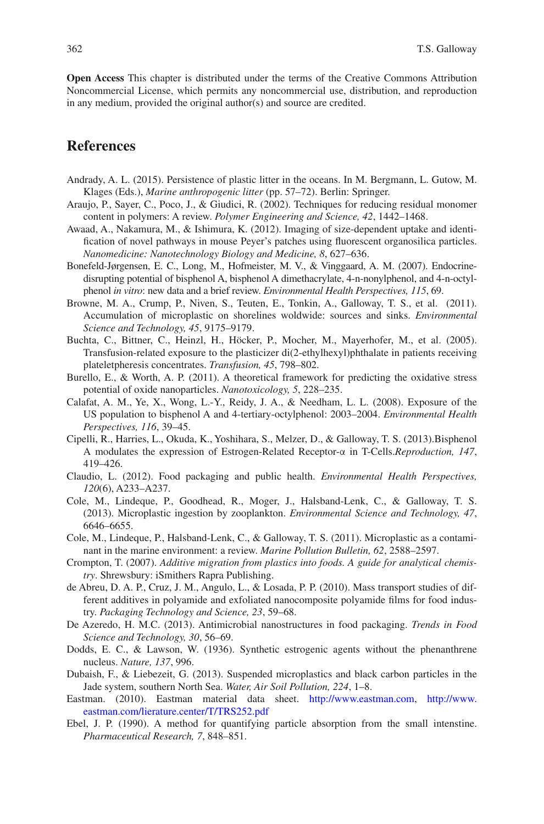**Open Access** This chapter is distributed under the terms of the Creative Commons Attribution Noncommercial License, which permits any noncommercial use, distribution, and reproduction in any medium, provided the original author(s) and source are credited.

## **References**

- <span id="page-19-4"></span>Andrady, A. L. (2015). Persistence of plastic litter in the oceans. In M. Bergmann, L. Gutow, M. Klages (Eds.), *Marine anthropogenic litter* (pp. 57–72). Berlin: Springer.
- <span id="page-19-1"></span>Araujo, P., Sayer, C., Poco, J., & Giudici, R. (2002). Techniques for reducing residual monomer content in polymers: A review. *Polymer Engineering and Science, 42*, 1442–1468.
- <span id="page-19-9"></span>Awaad, A., Nakamura, M., & Ishimura, K. (2012). Imaging of size-dependent uptake and identification of novel pathways in mouse Peyer's patches using fluorescent organosilica particles. *Nanomedicine: Nanotechnology Biology and Medicine, 8*, 627–636.
- <span id="page-19-14"></span>Bonefeld-Jørgensen, E. C., Long, M., Hofmeister, M. V., & Vinggaard, A. M. (2007). Endocrinedisrupting potential of bisphenol A, bisphenol A dimethacrylate, 4-n-nonylphenol, and 4-n-octylphenol *in vitro*: new data and a brief review. *Environmental Health Perspectives, 115*, 69.
- <span id="page-19-7"></span>Browne, M. A., Crump, P., Niven, S., Teuten, E., Tonkin, A., Galloway, T. S., et al. (2011). Accumulation of microplastic on shorelines woldwide: sources and sinks. *Environmental Science and Technology, 45*, 9175–9179.
- <span id="page-19-3"></span>Buchta, C., Bittner, C., Heinzl, H., Höcker, P., Mocher, M., Mayerhofer, M., et al. (2005). Transfusion-related exposure to the plasticizer di(2-ethylhexyl)phthalate in patients receiving plateletpheresis concentrates. *Transfusion, 45*, 798–802.
- <span id="page-19-11"></span>Burello, E., & Worth, A. P. (2011). A theoretical framework for predicting the oxidative stress potential of oxide nanoparticles. *Nanotoxicology, 5*, 228–235.
- <span id="page-19-13"></span>Calafat, A. M., Ye, X., Wong, L.-Y., Reidy, J. A., & Needham, L. L. (2008). Exposure of the US population to bisphenol A and 4-tertiary-octylphenol: 2003–2004. *Environmental Health Perspectives, 116*, 39–45.
- <span id="page-19-15"></span>Cipelli, R., Harries, L., Okuda, K., Yoshihara, S., Melzer, D., & Galloway, T. S. (2013).Bisphenol A modulates the expression of Estrogen-Related Receptor-α in T-Cells.*Reproduction, 147*, 419–426.
- <span id="page-19-0"></span>Claudio, L. (2012). Food packaging and public health. *Environmental Health Perspectives, 120*(6), A233–A237.
- <span id="page-19-8"></span>Cole, M., Lindeque, P., Goodhead, R., Moger, J., Halsband-Lenk, C., & Galloway, T. S. (2013). Microplastic ingestion by zooplankton. *Environmental Science and Technology, 47*, 6646–6655.
- <span id="page-19-5"></span>Cole, M., Lindeque, P., Halsband-Lenk, C., & Galloway, T. S. (2011). Microplastic as a contaminant in the marine environment: a review. *Marine Pollution Bulletin, 62*, 2588–2597.
- <span id="page-19-2"></span>Crompton, T. (2007). *Additive migration from plastics into foods. A guide for analytical chemistry*. Shrewsbury: iSmithers Rapra Publishing.
- <span id="page-19-18"></span>de Abreu, D. A. P., Cruz, J. M., Angulo, L., & Losada, P. P. (2010). Mass transport studies of different additives in polyamide and exfoliated nanocomposite polyamide films for food industry. *Packaging Technology and Science, 23*, 59–68.
- <span id="page-19-17"></span>De Azeredo, H. M.C. (2013). Antimicrobial nanostructures in food packaging. *Trends in Food Science and Technology, 30*, 56–69.
- <span id="page-19-12"></span>Dodds, E. C., & Lawson, W. (1936). Synthetic estrogenic agents without the phenanthrene nucleus. *Nature, 137*, 996.
- <span id="page-19-6"></span>Dubaish, F., & Liebezeit, G. (2013). Suspended microplastics and black carbon particles in the Jade system, southern North Sea. *Water, Air Soil Pollution, 224*, 1–8.
- <span id="page-19-16"></span>Eastman. (2010). Eastman material data sheet. [http://www.eastman.com,](http://www.eastman.com) [http://www.](http://www.eastman.com/lierature.center/T/TRS252.pdf) [eastman.com/lierature.center/T/TRS252.pdf](http://www.eastman.com/lierature.center/T/TRS252.pdf)
- <span id="page-19-10"></span>Ebel, J. P. (1990). A method for quantifying particle absorption from the small intenstine. *Pharmaceutical Research, 7*, 848–851.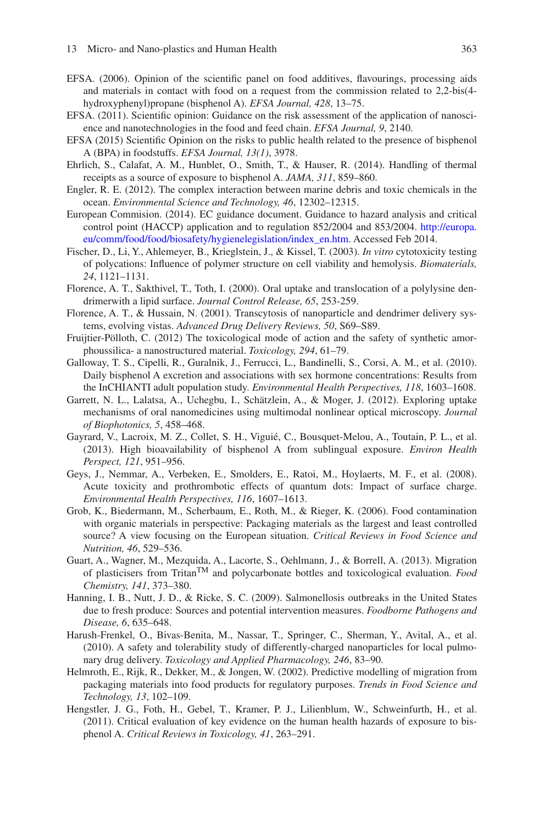- <span id="page-20-17"></span>EFSA. (2006). Opinion of the scientific panel on food additives, flavourings, processing aids and materials in contact with food on a request from the commission related to 2,2-bis(4 hydroxyphenyl)propane (bisphenol A). *EFSA Journal, 428*, 13–75.
- <span id="page-20-3"></span>EFSA. (2011). Scientific opinion: Guidance on the risk assessment of the application of nanoscience and nanotechnologies in the food and feed chain. *EFSA Journal, 9*, 2140.
- <span id="page-20-18"></span>EFSA (2015) Scientific Opinion on the risks to public health related to the presence of bisphenol A (BPA) in foodstuffs. *EFSA Journal, 13(1)*, 3978.
- <span id="page-20-14"></span>Ehrlich, S., Calafat, A. M., Hunblet, O., Smith, T., & Hauser, R. (2014). Handling of thermal receipts as a source of exposure to bisphenol A. *JAMA, 311*, 859–860.
- <span id="page-20-4"></span>Engler, R. E. (2012). The complex interaction between marine debris and toxic chemicals in the ocean. *Environmental Science and Technology, 46*, 12302–12315.
- <span id="page-20-1"></span>European Commision. (2014). EC guidance document. Guidance to hazard analysis and critical control point (HACCP) application and to regulation 852/2004 and 853/2004. [http://europa.](http://europa.eu/comm/food/food/biosafety/hygienelegislation/index_en.htm) [eu/comm/food/food/biosafety/hygienelegislation/index\\_en.htm.](http://europa.eu/comm/food/food/biosafety/hygienelegislation/index_en.htm) Accessed Feb 2014.
- <span id="page-20-10"></span>Fischer, D., Li, Y., Ahlemeyer, B., Krieglstein, J., & Kissel, T. (2003). *In vitro* cytotoxicity testing of polycations: Influence of polymer structure on cell viability and hemolysis. *Biomaterials, 24*, 1121–1131.
- <span id="page-20-6"></span>Florence, A. T., Sakthivel, T., Toth, I. (2000). Oral uptake and translocation of a polylysine dendrimerwith a lipid surface. *Journal Control Release, 65*, 253-259.
- <span id="page-20-5"></span>Florence, A. T., & Hussain, N. (2001). Transcytosis of nanoparticle and dendrimer delivery systems, evolving vistas. *Advanced Drug Delivery Reviews, 50*, S69–S89.
- <span id="page-20-11"></span>Fruijtier-Pölloth, C. (2012) The toxicological mode of action and the safety of synthetic amorphoussilica- a nanostructured material. *Toxicology, 294*, 61–79.
- <span id="page-20-15"></span>Galloway, T. S., Cipelli, R., Guralnik, J., Ferrucci, L., Bandinelli, S., Corsi, A. M., et al. (2010). Daily bisphenol A excretion and associations with sex hormone concentrations: Results from the InCHIANTI adult population study. *Environmental Health Perspectives, 118*, 1603–1608.
- <span id="page-20-7"></span>Garrett, N. L., Lalatsa, A., Uchegbu, I., Schätzlein, A., & Moger, J. (2012). Exploring uptake mechanisms of oral nanomedicines using multimodal nonlinear optical microscopy. *Journal of Biophotonics, 5*, 458–468.
- <span id="page-20-19"></span>Gayrard, V., Lacroix, M. Z., Collet, S. H., Viguié, C., Bousquet-Melou, A., Toutain, P. L., et al. (2013). High bioavailability of bisphenol A from sublingual exposure. *Environ Health Perspect, 121*, 951–956.
- <span id="page-20-8"></span>Geys, J., Nemmar, A., Verbeken, E., Smolders, E., Ratoi, M., Hoylaerts, M. F., et al. (2008). Acute toxicity and prothrombotic effects of quantum dots: Impact of surface charge. *Environmental Health Perspectives, 116*, 1607–1613.
- <span id="page-20-2"></span>Grob, K., Biedermann, M., Scherbaum, E., Roth, M., & Rieger, K. (2006). Food contamination with organic materials in perspective: Packaging materials as the largest and least controlled source? A view focusing on the European situation. *Critical Reviews in Food Science and Nutrition, 46*, 529–536.
- <span id="page-20-13"></span>Guart, A., Wagner, M., Mezquida, A., Lacorte, S., Oehlmann, J., & Borrell, A. (2013). Migration of plasticisers from TritanTM and polycarbonate bottles and toxicological evaluation. *Food Chemistry, 141*, 373–380.
- <span id="page-20-0"></span>Hanning, I. B., Nutt, J. D., & Ricke, S. C. (2009). Salmonellosis outbreaks in the United States due to fresh produce: Sources and potential intervention measures. *Foodborne Pathogens and Disease, 6*, 635–648.
- <span id="page-20-9"></span>Harush-Frenkel, O., Bivas-Benita, M., Nassar, T., Springer, C., Sherman, Y., Avital, A., et al. (2010). A safety and tolerability study of differently-charged nanoparticles for local pulmonary drug delivery. *Toxicology and Applied Pharmacology, 246*, 83–90.
- <span id="page-20-12"></span>Helmroth, E., Rijk, R., Dekker, M., & Jongen, W. (2002). Predictive modelling of migration from packaging materials into food products for regulatory purposes. *Trends in Food Science and Technology, 13*, 102–109.
- <span id="page-20-16"></span>Hengstler, J. G., Foth, H., Gebel, T., Kramer, P. J., Lilienblum, W., Schweinfurth, H., et al. (2011). Critical evaluation of key evidence on the human health hazards of exposure to bisphenol A. *Critical Reviews in Toxicology, 41*, 263–291.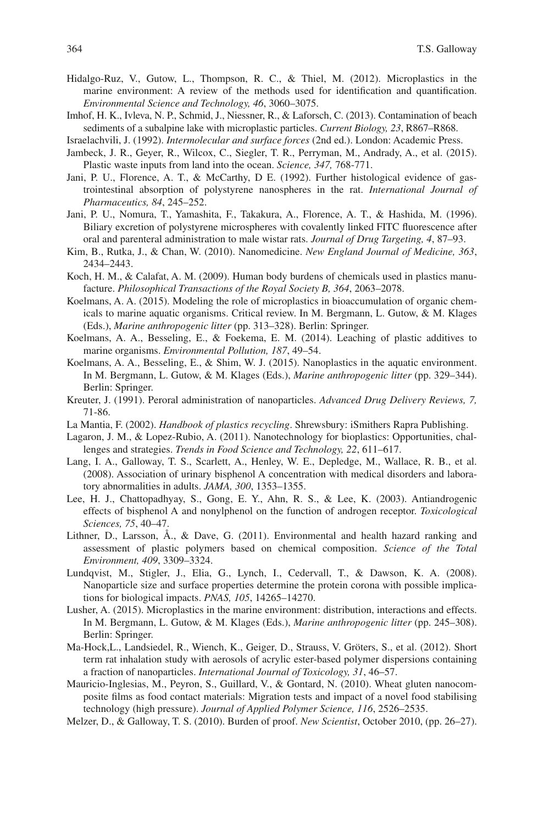- <span id="page-21-5"></span>Hidalgo-Ruz, V., Gutow, L., Thompson, R. C., & Thiel, M. (2012). Microplastics in the marine environment: A review of the methods used for identification and quantification. *Environmental Science and Technology, 46*, 3060–3075.
- <span id="page-21-6"></span>Imhof, H. K., Ivleva, N. P., Schmid, J., Niessner, R., & Laforsch, C. (2013). Contamination of beach sediments of a subalpine lake with microplastic particles. *Current Biology, 23*, R867–R868.
- <span id="page-21-17"></span>Israelachvili, J. (1992). *Intermolecular and surface forces* (2nd ed.). London: Academic Press.
- <span id="page-21-0"></span>Jambeck, J. R., Geyer, R., Wilcox, C., Siegler, T. R., Perryman, M., Andrady, A., et al. (2015). Plastic waste inputs from land into the ocean. *Science, 347,* 768-771.
- <span id="page-21-12"></span>Jani, P. U., Florence, A. T., & McCarthy, D E. (1992). Further histological evidence of gastrointestinal absorption of polystyrene nanospheres in the rat. *International Journal of Pharmaceutics, 84*, 245–252.
- <span id="page-21-14"></span>Jani, P. U., Nomura, T., Yamashita, F., Takakura, A., Florence, A. T., & Hashida, M. (1996). Biliary excretion of polystyrene microspheres with covalently linked FITC fluorescence after oral and parenteral administration to male wistar rats. *Journal of Drug Targeting, 4*, 87–93.
- <span id="page-21-10"></span>Kim, B., Rutka, J., & Chan, W. (2010). Nanomedicine. *New England Journal of Medicine, 363*, 2434–2443.
- <span id="page-21-4"></span>Koch, H. M., & Calafat, A. M. (2009). Human body burdens of chemicals used in plastics manufacture. *Philosophical Transactions of the Royal Society B, 364*, 2063–2078.
- <span id="page-21-8"></span>Koelmans, A. A. (2015). Modeling the role of microplastics in bioaccumulation of organic chemicals to marine aquatic organisms. Critical review. In M. Bergmann, L. Gutow, & M. Klages (Eds.), *Marine anthropogenic litter* (pp. 313–328). Berlin: Springer.
- <span id="page-21-20"></span>Koelmans, A. A., Besseling, E., & Foekema, E. M. (2014). Leaching of plastic additives to marine organisms. *Environmental Pollution, 187*, 49–54.
- <span id="page-21-7"></span>Koelmans, A. A., Besseling, E., & Shim, W. J. (2015). Nanoplastics in the aquatic environment. In M. Bergmann, L. Gutow, & M. Klages (Eds.), *Marine anthropogenic litter* (pp. 329–344). Berlin: Springer.
- <span id="page-21-13"></span>Kreuter, J. (1991). Peroral administration of nanoparticles. *Advanced Drug Delivery Reviews, 7,* 71-86.
- <span id="page-21-3"></span>La Mantia, F. (2002). *Handbook of plastics recycling*. Shrewsbury: iSmithers Rapra Publishing.
- <span id="page-21-11"></span>Lagaron, J. M., & Lopez-Rubio, A. (2011). Nanotechnology for bioplastics: Opportunities, challenges and strategies. *Trends in Food Science and Technology, 22*, 611–617.
- <span id="page-21-19"></span>Lang, I. A., Galloway, T. S., Scarlett, A., Henley, W. E., Depledge, M., Wallace, R. B., et al. (2008). Association of urinary bisphenol A concentration with medical disorders and laboratory abnormalities in adults. *JAMA, 300*, 1353–1355.
- <span id="page-21-18"></span>Lee, H. J., Chattopadhyay, S., Gong, E. Y., Ahn, R. S., & Lee, K. (2003). Antiandrogenic effects of bisphenol A and nonylphenol on the function of androgen receptor. *Toxicological Sciences, 75*, 40–47.
- <span id="page-21-2"></span>Lithner, D., Larsson, Å., & Dave, G. (2011). Environmental and health hazard ranking and assessment of plastic polymers based on chemical composition. *Science of the Total Environment, 409*, 3309–3324.
- <span id="page-21-15"></span>Lundqvist, M., Stigler, J., Elia, G., Lynch, I., Cedervall, T., & Dawson, K. A. (2008). Nanoparticle size and surface properties determine the protein corona with possible implications for biological impacts. *PNAS, 105*, 14265–14270.
- <span id="page-21-9"></span>Lusher, A. (2015). Microplastics in the marine environment: distribution, interactions and effects. In M. Bergmann, L. Gutow, & M. Klages (Eds.), *Marine anthropogenic litter* (pp. 245–308). Berlin: Springer.
- <span id="page-21-16"></span>Ma-Hock,L., Landsiedel, R., Wiench, K., Geiger, D., Strauss, V. Gröters, S., et al. (2012). Short term rat inhalation study with aerosols of acrylic ester-based polymer dispersions containing a fraction of nanoparticles. *International Journal of Toxicology, 31*, 46–57.
- <span id="page-21-21"></span>Mauricio-Inglesias, M., Peyron, S., Guillard, V., & Gontard, N. (2010). Wheat gluten nanocomposite films as food contact materials: Migration tests and impact of a novel food stabilising technology (high pressure). *Journal of Applied Polymer Science, 116*, 2526–2535.
- <span id="page-21-1"></span>Melzer, D., & Galloway, T. S. (2010). Burden of proof. *New Scientist*, October 2010, (pp. 26–27).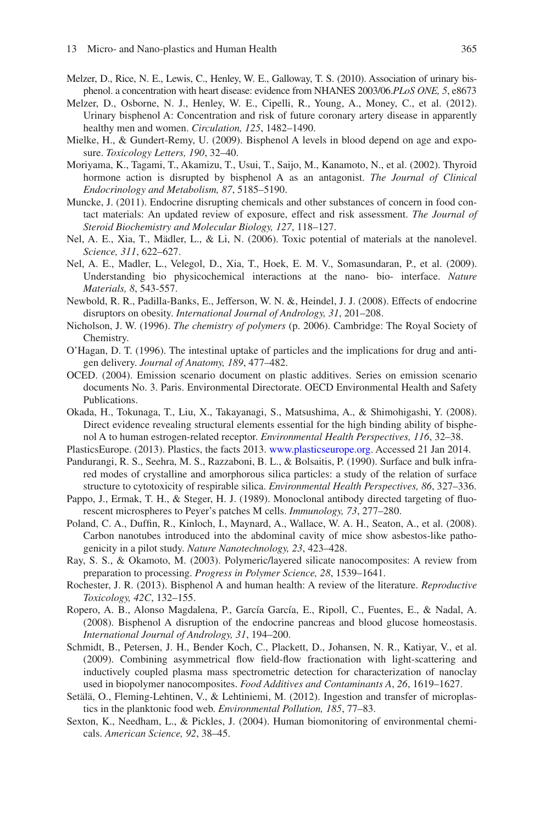- <span id="page-22-16"></span>Melzer, D., Rice, N. E., Lewis, C., Henley, W. E., Galloway, T. S. (2010). Association of urinary bisphenol. a concentration with heart disease: evidence from NHANES 2003/06.*PLoS ONE, 5*, e8673
- <span id="page-22-17"></span>Melzer, D., Osborne, N. J., Henley, W. E., Cipelli, R., Young, A., Money, C., et al. (2012). Urinary bisphenol A: Concentration and risk of future coronary artery disease in apparently healthy men and women. *Circulation, 125*, 1482–1490.
- <span id="page-22-19"></span>Mielke, H., & Gundert-Remy, U. (2009). Bisphenol A levels in blood depend on age and exposure. *Toxicology Letters, 190*, 32–40.
- <span id="page-22-13"></span>Moriyama, K., Tagami, T., Akamizu, T., Usui, T., Saijo, M., Kanamoto, N., et al. (2002). Thyroid hormone action is disrupted by bisphenol A as an antagonist. *The Journal of Clinical Endocrinology and Metabolism, 87*, 5185–5190.
- <span id="page-22-11"></span>Muncke, J. (2011). Endocrine disrupting chemicals and other substances of concern in food contact materials: An updated review of exposure, effect and risk assessment. *The Journal of Steroid Biochemistry and Molecular Biology, 127*, 118–127.
- <span id="page-22-8"></span>Nel, A. E., Xia, T., Mädler, L., & Li, N. (2006). Toxic potential of materials at the nanolevel. *Science, 311*, 622–627.
- <span id="page-22-10"></span>Nel, A. E., Madler, L., Velegol, D., Xia, T., Hoek, E. M. V., Somasundaran, P., et al. (2009). Understanding bio physicochemical interactions at the nano- bio- interface. *Nature Materials, 8*, 543-557.
- <span id="page-22-15"></span>Newbold, R. R., Padilla-Banks, E., Jefferson, W. N. &, Heindel, J. J. (2008). Effects of endocrine disruptors on obesity. *International Journal of Andrology, 31*, 201–208.
- <span id="page-22-3"></span>Nicholson, J. W. (1996). *The chemistry of polymers* (p. 2006). Cambridge: The Royal Society of Chemistry.
- <span id="page-22-5"></span>O'Hagan, D. T. (1996). The intestinal uptake of particles and the implications for drug and antigen delivery. *Journal of Anatomy, 189*, 477–482.
- <span id="page-22-2"></span>OCED. (2004). Emission scenario document on plastic additives. Series on emission scenario documents No. 3. Paris. Environmental Directorate. OECD Environmental Health and Safety Publications.
- <span id="page-22-12"></span>Okada, H., Tokunaga, T., Liu, X., Takayanagi, S., Matsushima, A., & Shimohigashi, Y. (2008). Direct evidence revealing structural elements essential for the high binding ability of bisphenol A to human estrogen-related receptor. *Environmental Health Perspectives, 116*, 32–38.
- <span id="page-22-0"></span>PlasticsEurope. (2013). Plastics, the facts 2013. [www.plasticseurope.org.](http://www.plasticseurope.org) Accessed 21 Jan 2014.
- <span id="page-22-9"></span>Pandurangi, R. S., Seehra, M. S., Razzaboni, B. L., & Bolsaitis, P. (1990). Surface and bulk infrared modes of crystalline and amorphorous silica particles: a study of the relation of surface structure to cytotoxicity of respirable silica. *Environmental Health Perspectives, 86*, 327–336.
- <span id="page-22-6"></span>Pappo, J., Ermak, T. H., & Steger, H. J. (1989). Monoclonal antibody directed targeting of fluorescent microspheres to Peyer's patches M cells. *Immunology, 73*, 277–280.
- <span id="page-22-7"></span>Poland, C. A., Duffin, R., Kinloch, I., Maynard, A., Wallace, W. A. H., Seaton, A., et al. (2008). Carbon nanotubes introduced into the abdominal cavity of mice show asbestos-like pathogenicity in a pilot study. *Nature Nanotechnology, 23*, 423–428.
- <span id="page-22-21"></span>Ray, S. S., & Okamoto, M. (2003). Polymeric/layered silicate nanocomposites: A review from preparation to processing. *Progress in Polymer Science, 28*, 1539–1641.
- <span id="page-22-18"></span>Rochester, J. R. (2013). Bisphenol A and human health: A review of the literature. *Reproductive Toxicology, 42C*, 132–155.
- <span id="page-22-14"></span>Ropero, A. B., Alonso Magdalena, P., García García, E., Ripoll, C., Fuentes, E., & Nadal, A. (2008). Bisphenol A disruption of the endocrine pancreas and blood glucose homeostasis. *International Journal of Andrology, 31*, 194–200.
- <span id="page-22-20"></span>Schmidt, B., Petersen, J. H., Bender Koch, C., Plackett, D., Johansen, N. R., Katiyar, V., et al. (2009). Combining asymmetrical flow field-flow fractionation with light-scattering and inductively coupled plasma mass spectrometric detection for characterization of nanoclay used in biopolymer nanocomposites. *Food Additives and Contaminants A*, *26*, 1619–1627.
- <span id="page-22-4"></span>Setälä, O., Fleming-Lehtinen, V., & Lehtiniemi, M. (2012). Ingestion and transfer of microplastics in the planktonic food web. *Environmental Pollution, 185*, 77–83.
- <span id="page-22-1"></span>Sexton, K., Needham, L., & Pickles, J. (2004). Human biomonitoring of environmental chemicals. *American Science, 92*, 38–45.